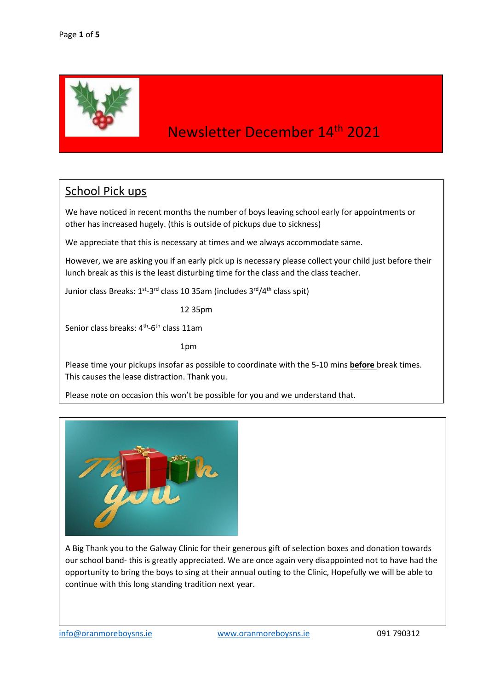

### Newsletter December 14th 2021

#### School Pick ups

We have noticed in recent months the number of boys leaving school early for appointments or other has increased hugely. (this is outside of pickups due to sickness)

We appreciate that this is necessary at times and we always accommodate same.

However, we are asking you if an early pick up is necessary please collect your child just before their lunch break as this is the least disturbing time for the class and the class teacher.

Junior class Breaks: 1<sup>st</sup>-3<sup>rd</sup> class 10 35am (includes 3<sup>rd</sup>/4<sup>th</sup> class spit)

12 35pm

Senior class breaks: 4<sup>th</sup>-6<sup>th</sup> class 11am

1pm

Please time your pickups insofar as possible to coordinate with the 5-10 mins **before** break times. This causes the lease distraction. Thank you.

Please note on occasion this won't be possible for you and we understand that.



A Big Thank you to the Galway Clinic for their generous gift of selection boxes and donation towards our school band- this is greatly appreciated. We are once again very disappointed not to have had the opportunity to bring the boys to sing at their annual outing to the Clinic, Hopefully we will be able to continue with this long standing tradition next year.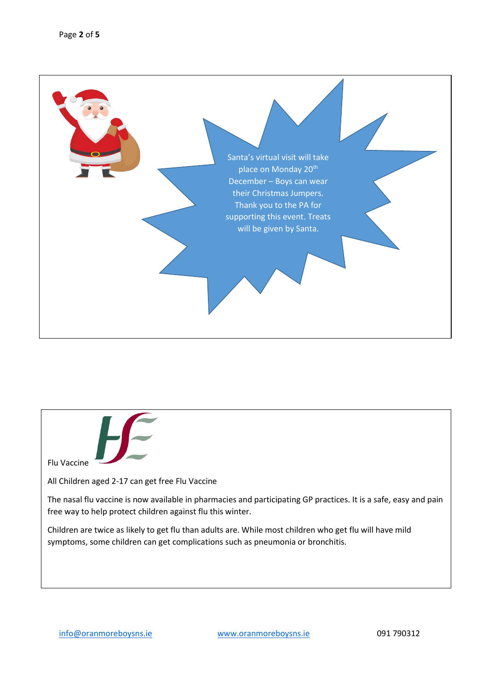

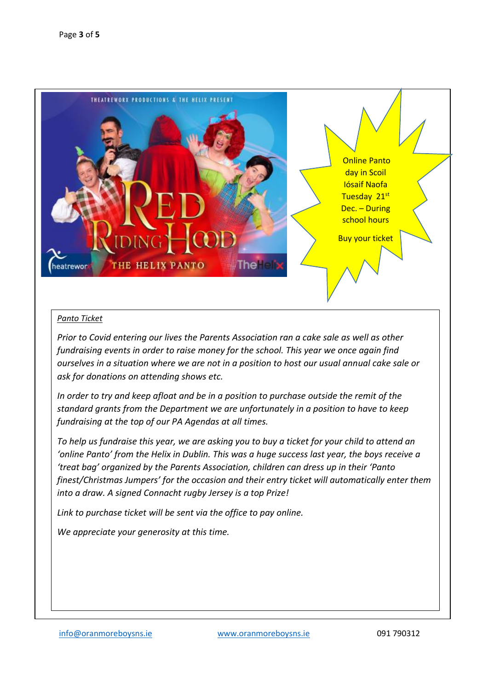

#### *Panto Ticket*

*Prior to Covid entering our lives the Parents Association ran a cake sale as well as other fundraising events in order to raise money for the school. This year we once again find ourselves in a situation where we are not in a position to host our usual annual cake sale or ask for donations on attending shows etc.* 

*In order to try and keep afloat and be in a position to purchase outside the remit of the standard grants from the Department we are unfortunately in a position to have to keep fundraising at the top of our PA Agendas at all times.* 

*To help us fundraise this year, we are asking you to buy a ticket for your child to attend an 'online Panto' from the Helix in Dublin. This was a huge success last year, the boys receive a 'treat bag' organized by the Parents Association, children can dress up in their 'Panto finest/Christmas Jumpers' for the occasion and their entry ticket will automatically enter them into a draw. A signed Connacht rugby Jersey is a top Prize!* 

*Link to purchase ticket will be sent via the office to pay online.*

*We appreciate your generosity at this time.*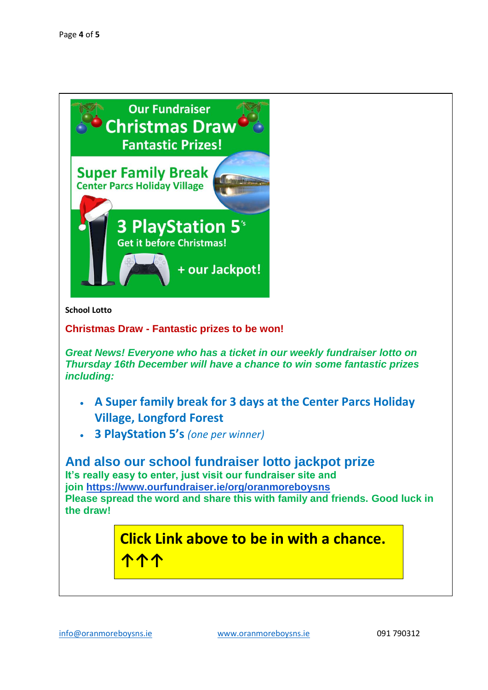

**School Lotto** 

**Christmas Draw - Fantastic prizes to be won!**

*Great News! Everyone who has a ticket in our weekly fundraiser lotto on Thursday 16th December will have a chance to win some fantastic prizes including:*

- **A Super family break for 3 days at the Center Parcs Holiday Village, Longford Forest**
- **3 PlayStation 5's** *(one per winner)*

**And also our school fundraiser lotto jackpot prize It's really easy to enter, just visit our fundraiser site and join <https://www.ourfundraiser.ie/org/oranmoreboysns> Please spread the word and share this with family and friends. Good luck in the draw!**

## **Click Link above to be in with a chance. ↑↑↑**